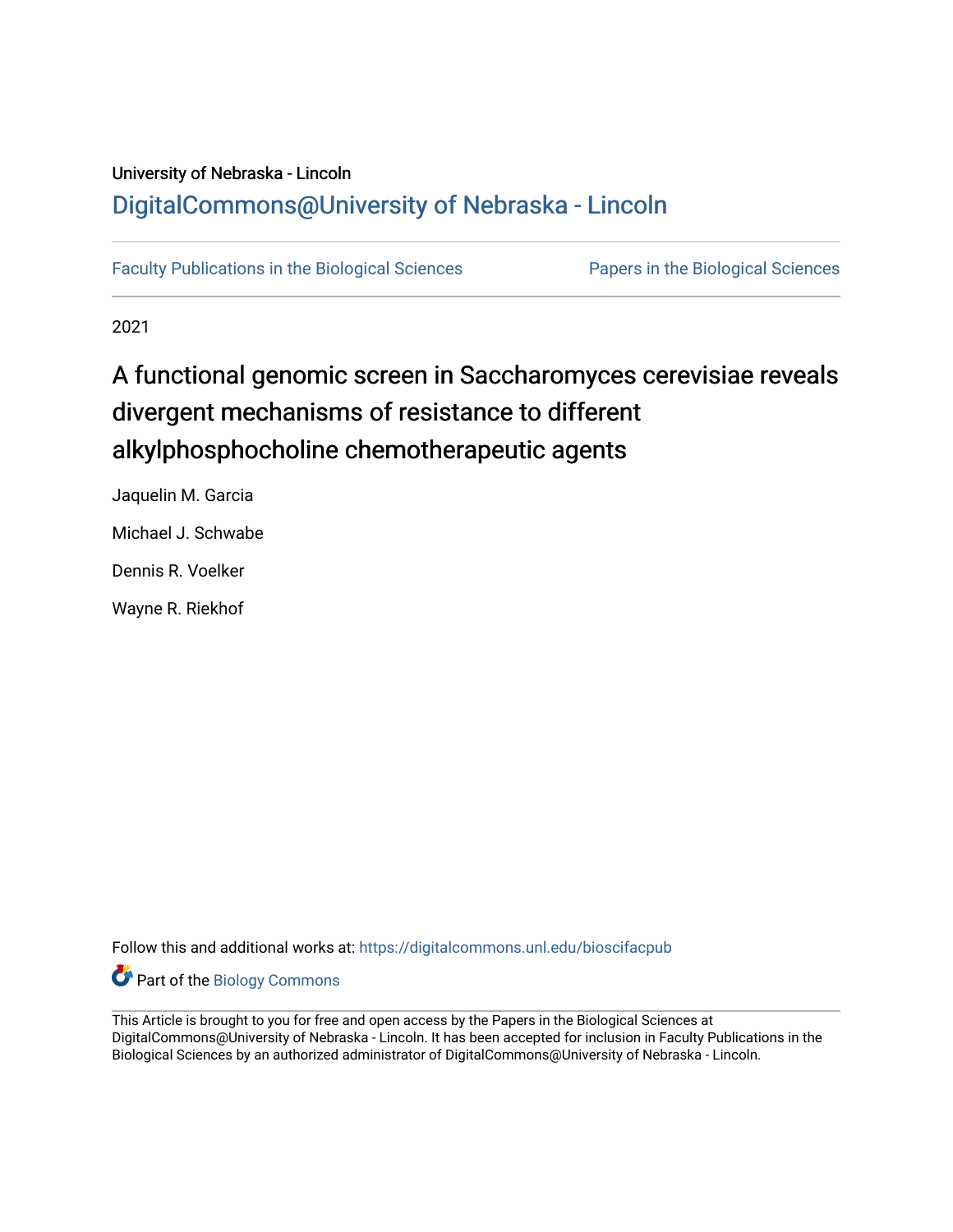## University of Nebraska - Lincoln [DigitalCommons@University of Nebraska - Lincoln](https://digitalcommons.unl.edu/)

[Faculty Publications in the Biological Sciences](https://digitalcommons.unl.edu/bioscifacpub) [Papers in the Biological Sciences](https://digitalcommons.unl.edu/bioscipapers) 

2021

# A functional genomic screen in Saccharomyces cerevisiae reveals divergent mechanisms of resistance to different alkylphosphocholine chemotherapeutic agents

Jaquelin M. Garcia Michael J. Schwabe Dennis R. Voelker Wayne R. Riekhof

Follow this and additional works at: [https://digitalcommons.unl.edu/bioscifacpub](https://digitalcommons.unl.edu/bioscifacpub?utm_source=digitalcommons.unl.edu%2Fbioscifacpub%2F897&utm_medium=PDF&utm_campaign=PDFCoverPages) 

Part of the [Biology Commons](http://network.bepress.com/hgg/discipline/41?utm_source=digitalcommons.unl.edu%2Fbioscifacpub%2F897&utm_medium=PDF&utm_campaign=PDFCoverPages) 

This Article is brought to you for free and open access by the Papers in the Biological Sciences at DigitalCommons@University of Nebraska - Lincoln. It has been accepted for inclusion in Faculty Publications in the Biological Sciences by an authorized administrator of DigitalCommons@University of Nebraska - Lincoln.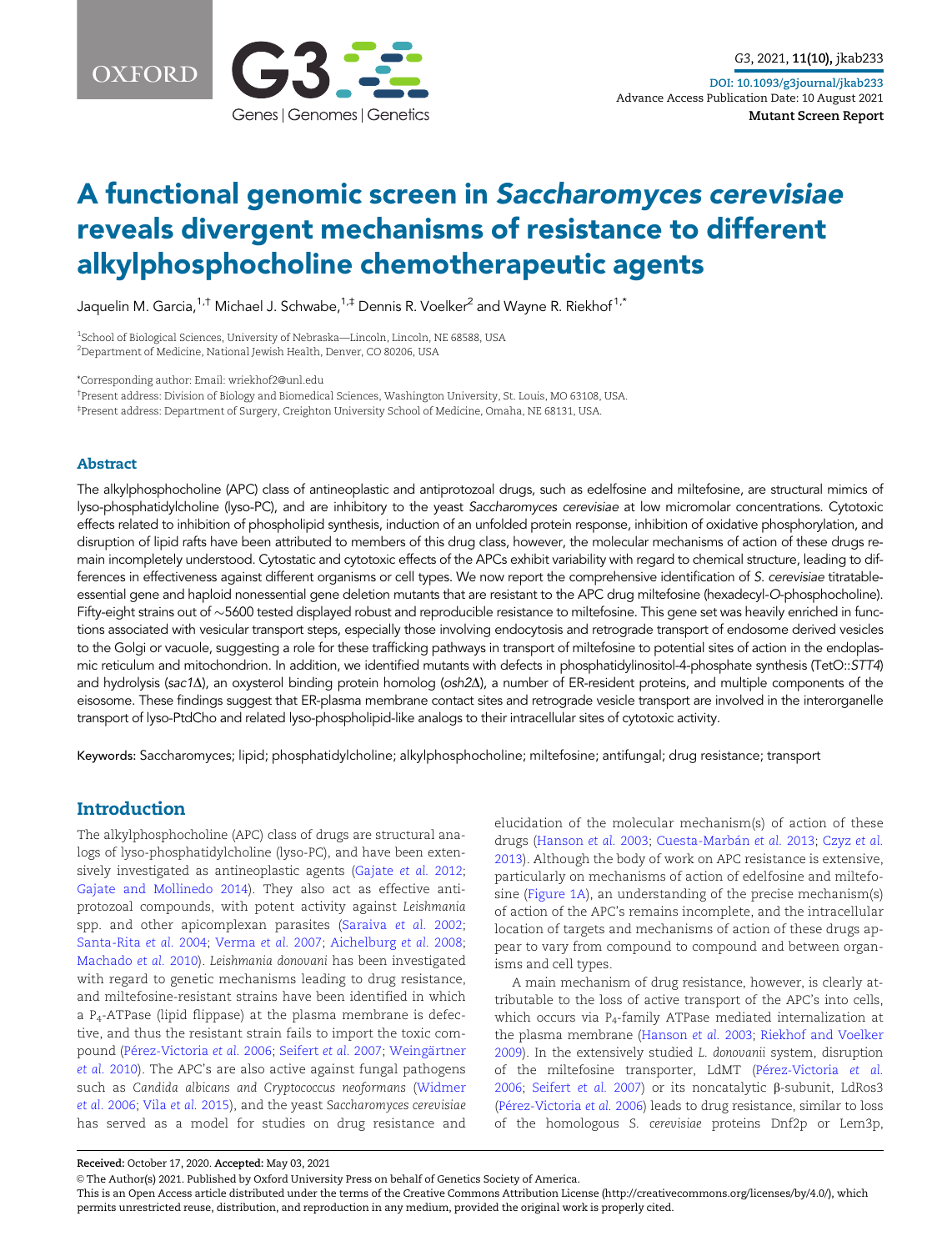



## A functional genomic screen in Saccharomyces cerevisiae reveals divergent mechanisms of resistance to different alkylphosphocholine chemotherapeutic agents

Jaquelin M. Garcia,<sup>1,†</sup> Michael J. Schwabe,<sup>1,‡</sup> Dennis R. Voelker<sup>2</sup> and Wayne R. Riekhof<sup>1,\*</sup>

<sup>1</sup>School of Biological Sciences, University of Nebraska—Lincoln, Lincoln, NE 68588, USA 2 Department of Medicine, National Jewish Health, Denver, CO 80206, USA

\*Corresponding author: Email: wriekhof2@unl.edu

† Present address: Division of Biology and Biomedical Sciences, Washington University, St. Louis, MO 63108, USA. ‡ Present address: Department of Surgery, Creighton University School of Medicine, Omaha, NE 68131, USA.

#### Abstract

The alkylphosphocholine (APC) class of antineoplastic and antiprotozoal drugs, such as edelfosine and miltefosine, are structural mimics of lyso-phosphatidylcholine (lyso-PC), and are inhibitory to the yeast Saccharomyces cerevisiae at low micromolar concentrations. Cytotoxic effects related to inhibition of phospholipid synthesis, induction of an unfolded protein response, inhibition of oxidative phosphorylation, and disruption of lipid rafts have been attributed to members of this drug class, however, the molecular mechanisms of action of these drugs remain incompletely understood. Cytostatic and cytotoxic effects of the APCs exhibit variability with regard to chemical structure, leading to differences in effectiveness against different organisms or cell types. We now report the comprehensive identification of S. cerevisiae titratableessential gene and haploid nonessential gene deletion mutants that are resistant to the APC drug miltefosine (hexadecyl-O-phosphocholine). Fifty-eight strains out of  $\sim$ 5600 tested displayed robust and reproducible resistance to miltefosine. This gene set was heavily enriched in functions associated with vesicular transport steps, especially those involving endocytosis and retrograde transport of endosome derived vesicles to the Golgi or vacuole, suggesting a role for these trafficking pathways in transport of miltefosine to potential sites of action in the endoplasmic reticulum and mitochondrion. In addition, we identified mutants with defects in phosphatidylinositol-4-phosphate synthesis (TetO::STT4) and hydrolysis (sac1 $\Delta$ ), an oxysterol binding protein homolog (osh $2\Delta$ ), a number of ER-resident proteins, and multiple components of the eisosome. These findings suggest that ER-plasma membrane contact sites and retrograde vesicle transport are involved in the interorganelle transport of lyso-PtdCho and related lyso-phospholipid-like analogs to their intracellular sites of cytotoxic activity.

Keywords: Saccharomyces; lipid; phosphatidylcholine; alkylphosphocholine; miltefosine; antifungal; drug resistance; transport

## **Introduction**

The alkylphosphocholine (APC) class of drugs are structural analogs of lyso-phosphatidylcholine (lyso-PC), and have been extensively investigated as antineoplastic agents [\(Gajate](#page-8-0) et al. 2012; [Gajate and Mollinedo 2014](#page-8-0)). They also act as effective antiprotozoal compounds, with potent activity against Leishmania spp. and other apicomplexan parasites ([Saraiva](#page-8-0) et al. 2002; [Santa-Rita](#page-8-0) et al. 2004; [Verma](#page-8-0) et al. 2007; [Aichelburg](#page-7-0) et al. 2008; [Machado](#page-8-0) et al. 2010). Leishmania donovani has been investigated with regard to genetic mechanisms leading to drug resistance, and miltefosine-resistant strains have been identified in which a P4-ATPase (lipid flippase) at the plasma membrane is defective, and thus the resistant strain fails to import the toxic com-pound (Pérez-Victoria et al. 2006; [Seifert](#page-8-0) et al. 2007; Weingärtner [et al.](#page-8-0) 2010). The APC's are also active against fungal pathogens such as Candida albicans and Cryptococcus neoformans ([Widmer](#page-8-0) et al. [2006](#page-8-0); Vila et al. [2015\)](#page-8-0), and the yeast Saccharomyces cerevisiae has served as a model for studies on drug resistance and

elucidation of the molecular mechanism(s) of action of these drugs ([Hanson](#page-8-0) et al. 2003; Cuesta-Marbán et al. 2013; [Czyz](#page-7-0) et al. [2013](#page-7-0)). Although the body of work on APC resistance is extensive, particularly on mechanisms of action of edelfosine and miltefosine [\(Figure 1A\)](#page-2-0), an understanding of the precise mechanism(s) of action of the APC's remains incomplete, and the intracellular location of targets and mechanisms of action of these drugs appear to vary from compound to compound and between organisms and cell types.

A main mechanism of drug resistance, however, is clearly attributable to the loss of active transport of the APC's into cells, which occurs via P4-family ATPase mediated internalization at the plasma membrane [\(Hanson](#page-8-0) et al. 2003; [Riekhof and Voelker](#page-8-0) [2009\)](#page-8-0). In the extensively studied L. donovanii system, disruption of the miltefosine transporter, LdMT (Pérez-Victoria et al. [2006;](#page-8-0) [Seifert](#page-8-0) et al. 2007) or its noncatalytic  $\beta$ -subunit, LdRos3 (Pérez-Victoria et al. 2006) leads to drug resistance, similar to loss of the homologous S. cerevisiae proteins Dnf2p or Lem3p,

Received: October 17, 2020. Accepted: May 03, 2021

V<sup>C</sup> The Author(s) 2021. Published by Oxford University Press on behalf of Genetics Society of America.

This is an Open Access article distributed under the terms of the Creative Commons Attribution License (http://creativecommons.org/licenses/by/4.0/), which permits unrestricted reuse, distribution, and reproduction in any medium, provided the original work is properly cited.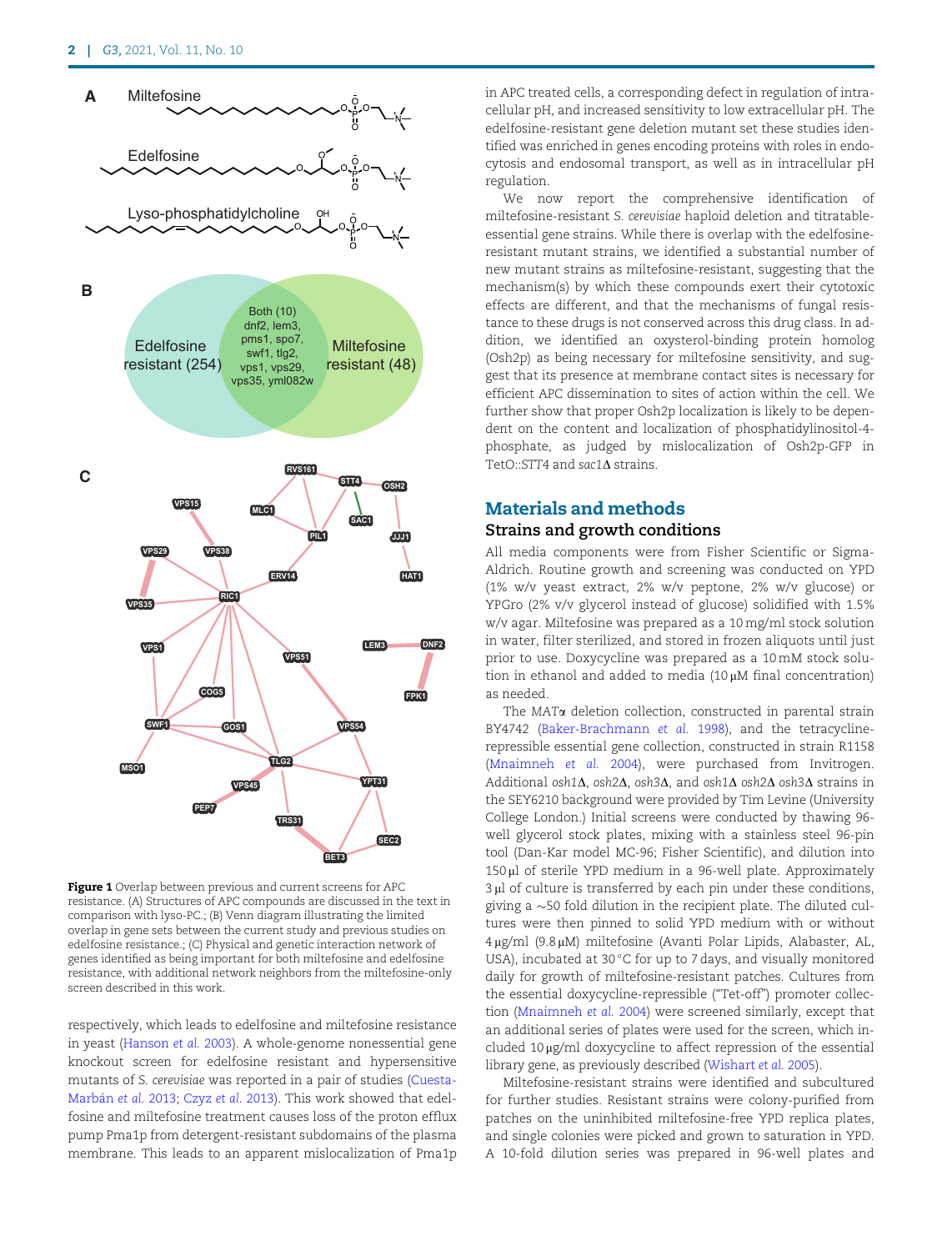<span id="page-2-0"></span>

Figure 1 Overlap between previous and current screens for APC resistance. (A) Structures of APC compounds are discussed in the text in comparison with lyso-PC.; (B) Venn diagram illustrating the limited overlap in gene sets between the current study and previous studies on edelfosine resistance.; (C) Physical and genetic interaction network of genes identified as being important for both miltefosine and edelfosine resistance, with additional network neighbors from the miltefosine-only screen described in this work.

respectively, which leads to edelfosine and miltefosine resistance in yeast [\(Hanson](#page-8-0) et al. 2003). A whole-genome nonessential gene knockout screen for edelfosine resistant and hypersensitive mutants of S. cerevisiae was reported in a pair of studies [\(Cuesta-](#page-7-0)Marbán et al. 2013; [Czyz](#page-7-0) et al. 2013). This work showed that edelfosine and miltefosine treatment causes loss of the proton efflux pump Pma1p from detergent-resistant subdomains of the plasma membrane. This leads to an apparent mislocalization of Pma1p

in APC treated cells, a corresponding defect in regulation of intracellular pH, and increased sensitivity to low extracellular pH. The edelfosine-resistant gene deletion mutant set these studies identified was enriched in genes encoding proteins with roles in endocytosis and endosomal transport, as well as in intracellular pH regulation.

We now report the comprehensive identification of miltefosine-resistant S. cerevisiae haploid deletion and titratableessential gene strains. While there is overlap with the edelfosineresistant mutant strains, we identified a substantial number of new mutant strains as miltefosine-resistant, suggesting that the mechanism(s) by which these compounds exert their cytotoxic effects are different, and that the mechanisms of fungal resistance to these drugs is not conserved across this drug class. In addition, we identified an oxysterol-binding protein homolog (Osh2p) as being necessary for miltefosine sensitivity, and suggest that its presence at membrane contact sites is necessary for efficient APC dissemination to sites of action within the cell. We further show that proper Osh2p localization is likely to be dependent on the content and localization of phosphatidylinositol-4 phosphate, as judged by mislocalization of Osh2p-GFP in  $TetO::STT4$  and sac1 $\Lambda$  strains.

## Materials and methods Strains and growth conditions

All media components were from Fisher Scientific or Sigma-Aldrich. Routine growth and screening was conducted on YPD (1% w/v yeast extract, 2% w/v peptone, 2% w/v glucose) or YPGro (2% v/v glycerol instead of glucose) solidified with 1.5% w/v agar. Miltefosine was prepared as a 10 mg/ml stock solution in water, filter sterilized, and stored in frozen aliquots until just prior to use. Doxycycline was prepared as a 10 mM stock solution in ethanol and added to media  $(10 \mu M)$  final concentration) as needed.

The MATa deletion collection, constructed in parental strain BY4742 ([Baker-Brachmann](#page-7-0) et al. 1998), and the tetracyclinerepressible essential gene collection, constructed in strain R1158 [\(Mnaimneh](#page-8-0) et al. 2004), were purchased from Invitrogen. Additional osh1 $\Delta$ , osh2 $\Delta$ , osh3 $\Delta$ , and osh1 $\Delta$  osh2 $\Delta$  osh3 $\Delta$  strains in the SEY6210 background were provided by Tim Levine (University College London.) Initial screens were conducted by thawing 96 well glycerol stock plates, mixing with a stainless steel 96-pin tool (Dan-Kar model MC-96; Fisher Scientific), and dilution into  $150 \mu$ l of sterile YPD medium in a 96-well plate. Approximately 3 µl of culture is transferred by each pin under these conditions, giving a  ${\sim}50$  fold dilution in the recipient plate. The diluted cultures were then pinned to solid YPD medium with or without 4 mg/ml (9.8 mM) miltefosine (Avanti Polar Lipids, Alabaster, AL, USA), incubated at 30 $\degree$ C for up to 7 days, and visually monitored daily for growth of miltefosine-resistant patches. Cultures from the essential doxycycline-repressible ("Tet-off") promoter collection ([Mnaimneh](#page-8-0) et al. 2004) were screened similarly, except that an additional series of plates were used for the screen, which in $cluded 10  $\mu$ g/ml doxycycline to affect repression of the essential$ library gene, as previously described ([Wishart](#page-8-0) et al. 2005).

Miltefosine-resistant strains were identified and subcultured for further studies. Resistant strains were colony-purified from patches on the uninhibited miltefosine-free YPD replica plates, and single colonies were picked and grown to saturation in YPD. A 10-fold dilution series was prepared in 96-well plates and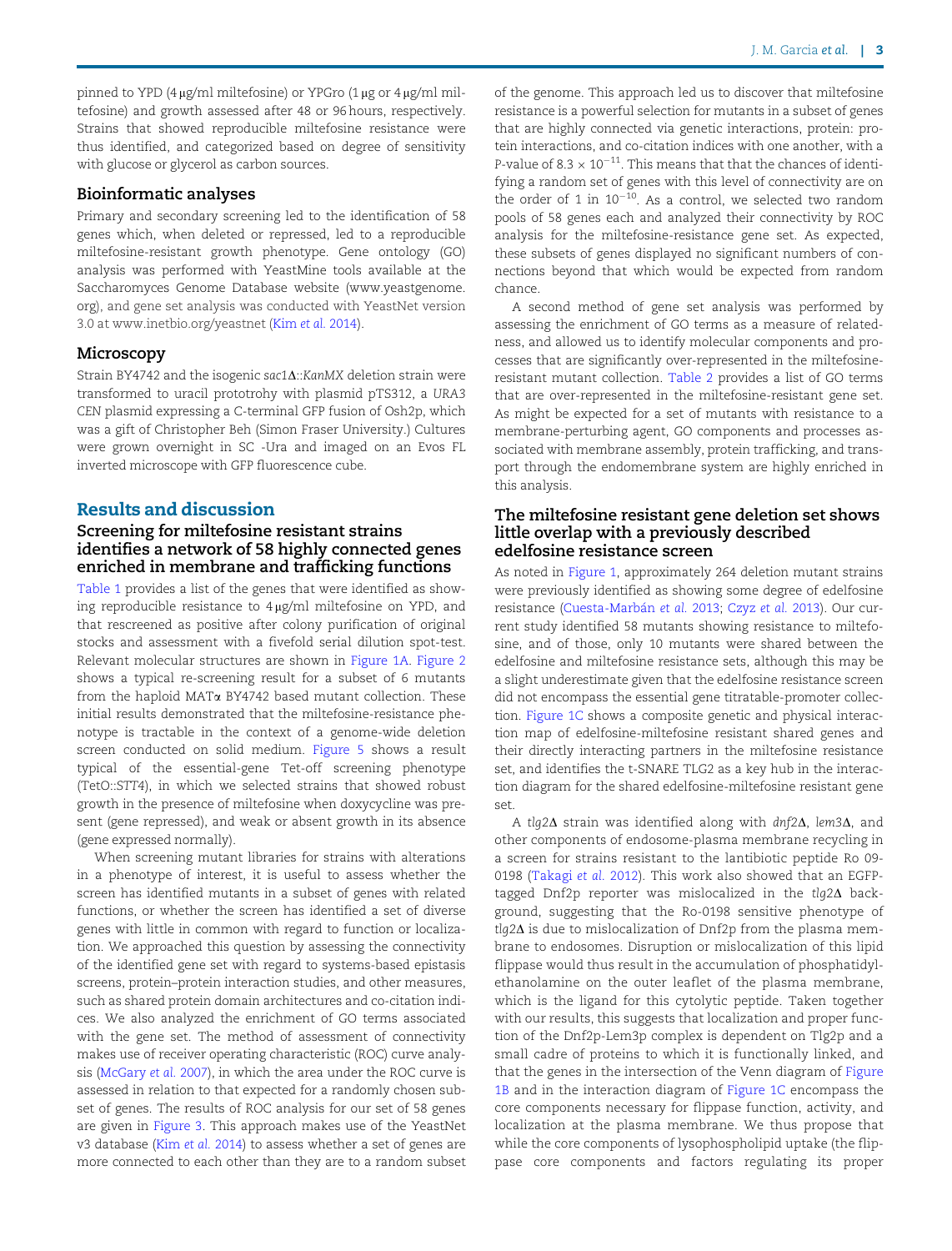pinned to YPD (4  $\mu$ g/ml miltefosine) or YPGro (1  $\mu$ g or 4  $\mu$ g/ml miltefosine) and growth assessed after 48 or 96 hours, respectively. Strains that showed reproducible miltefosine resistance were thus identified, and categorized based on degree of sensitivity with glucose or glycerol as carbon sources.

#### Bioinformatic analyses

Primary and secondary screening led to the identification of 58 genes which, when deleted or repressed, led to a reproducible miltefosine-resistant growth phenotype. Gene ontology (GO) analysis was performed with YeastMine tools available at the Saccharomyces Genome Database website ([www.yeastgenome.](http://www.yeastgenome.org) [org](http://www.yeastgenome.org)), and gene set analysis was conducted with YeastNet version 3.0 at [www.inetbio.org/yeastnet](http://www.inetbio.org/yeastnet) (Kim et al. [2014](#page-8-0)).

### Microscopy

Strain BY4742 and the isogenic sac1 $\Delta$ ::KanMX deletion strain were transformed to uracil prototrohy with plasmid pTS312, a URA3 CEN plasmid expressing a C-terminal GFP fusion of Osh2p, which was a gift of Christopher Beh (Simon Fraser University.) Cultures were grown overnight in SC -Ura and imaged on an Evos FL inverted microscope with GFP fluorescence cube.

#### Results and discussion

## Screening for miltefosine resistant strains identifies a network of 58 highly connected genes enriched in membrane and trafficking functions

[Table 1](#page-4-0) provides a list of the genes that were identified as showing reproducible resistance to  $4 \mu g/ml$  miltefosine on YPD, and that rescreened as positive after colony purification of original stocks and assessment with a fivefold serial dilution spot-test. Relevant molecular structures are shown in [Figure 1A.](#page-2-0) [Figure 2](#page-5-0) shows a typical re-screening result for a subset of 6 mutants from the haploid MAT $\alpha$  BY4742 based mutant collection. These initial results demonstrated that the miltefosine-resistance phenotype is tractable in the context of a genome-wide deletion screen conducted on solid medium. [Figure 5](#page-6-0) shows a result typical of the essential-gene Tet-off screening phenotype (TetO::STT4), in which we selected strains that showed robust growth in the presence of miltefosine when doxycycline was present (gene repressed), and weak or absent growth in its absence (gene expressed normally).

When screening mutant libraries for strains with alterations in a phenotype of interest, it is useful to assess whether the screen has identified mutants in a subset of genes with related functions, or whether the screen has identified a set of diverse genes with little in common with regard to function or localization. We approached this question by assessing the connectivity of the identified gene set with regard to systems-based epistasis screens, protein–protein interaction studies, and other measures, such as shared protein domain architectures and co-citation indices. We also analyzed the enrichment of GO terms associated with the gene set. The method of assessment of connectivity makes use of receiver operating characteristic (ROC) curve analysis ([McGary](#page-8-0) et al. 2007), in which the area under the ROC curve is assessed in relation to that expected for a randomly chosen subset of genes. The results of ROC analysis for our set of 58 genes are given in [Figure 3](#page-5-0). This approach makes use of the YeastNet v3 database (Kim et al. [2014\)](#page-8-0) to assess whether a set of genes are more connected to each other than they are to a random subset of the genome. This approach led us to discover that miltefosine resistance is a powerful selection for mutants in a subset of genes that are highly connected via genetic interactions, protein: protein interactions, and co-citation indices with one another, with a P-value of 8.3  $\times$  10<sup>-11</sup>. This means that that the chances of identifying a random set of genes with this level of connectivity are on the order of 1 in  $10^{-10}$ . As a control, we selected two random pools of 58 genes each and analyzed their connectivity by ROC analysis for the miltefosine-resistance gene set. As expected, these subsets of genes displayed no significant numbers of connections beyond that which would be expected from random chance.

A second method of gene set analysis was performed by assessing the enrichment of GO terms as a measure of relatedness, and allowed us to identify molecular components and processes that are significantly over-represented in the miltefosineresistant mutant collection. [Table 2](#page-6-0) provides a list of GO terms that are over-represented in the miltefosine-resistant gene set. As might be expected for a set of mutants with resistance to a membrane-perturbing agent, GO components and processes associated with membrane assembly, protein trafficking, and transport through the endomembrane system are highly enriched in this analysis.

#### The miltefosine resistant gene deletion set shows little overlap with a previously described edelfosine resistance screen

As noted in [Figure 1,](#page-2-0) approximately 264 deletion mutant strains were previously identified as showing some degree of edelfosine resistance (Cuesta-Marbán et al. 2013; [Czyz](#page-7-0) et al. 2013). Our current study identified 58 mutants showing resistance to miltefosine, and of those, only 10 mutants were shared between the edelfosine and miltefosine resistance sets, although this may be a slight underestimate given that the edelfosine resistance screen did not encompass the essential gene titratable-promoter collection. [Figure 1C](#page-2-0) shows a composite genetic and physical interaction map of edelfosine-miltefosine resistant shared genes and their directly interacting partners in the miltefosine resistance set, and identifies the t-SNARE TLG2 as a key hub in the interaction diagram for the shared edelfosine-miltefosine resistant gene set.

A tlg2 $\Delta$  strain was identified along with dnf2 $\Delta$ , lem3 $\Delta$ , and other components of endosome-plasma membrane recycling in a screen for strains resistant to the lantibiotic peptide Ro 09- 0198 ([Takagi](#page-8-0) et al. 2012). This work also showed that an EGFPtagged Dnf2p reporter was mislocalized in the tlq2 $\Delta$  background, suggesting that the Ro-0198 sensitive phenotype of  $tlq2\Delta$  is due to mislocalization of Dnf2p from the plasma membrane to endosomes. Disruption or mislocalization of this lipid flippase would thus result in the accumulation of phosphatidylethanolamine on the outer leaflet of the plasma membrane, which is the ligand for this cytolytic peptide. Taken together with our results, this suggests that localization and proper function of the Dnf2p-Lem3p complex is dependent on Tlg2p and a small cadre of proteins to which it is functionally linked, and that the genes in the intersection of the Venn diagram of [Figure](#page-2-0) [1B](#page-2-0) and in the interaction diagram of [Figure 1C](#page-2-0) encompass the core components necessary for flippase function, activity, and localization at the plasma membrane. We thus propose that while the core components of lysophospholipid uptake (the flippase core components and factors regulating its proper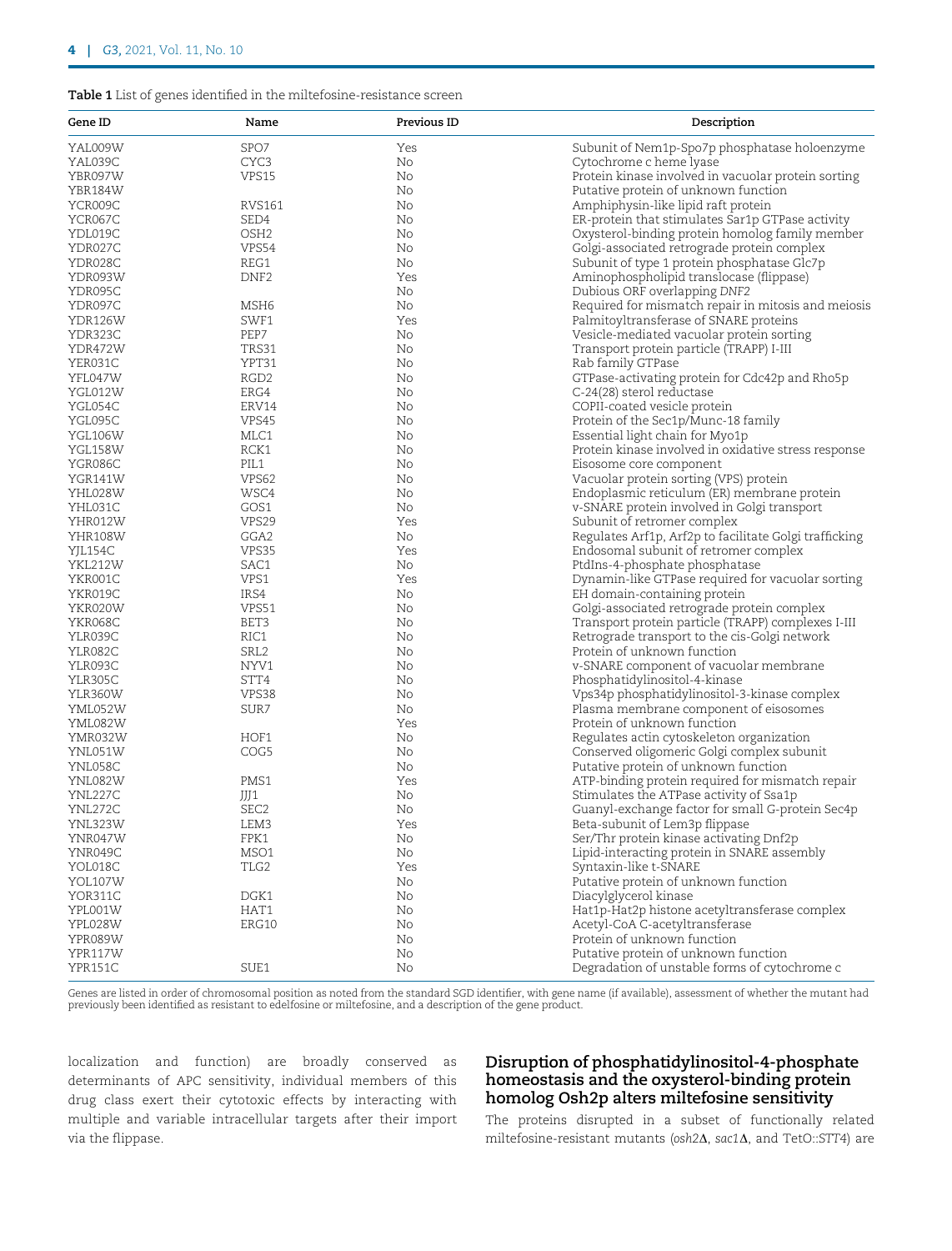#### <span id="page-4-0"></span>Table 1 List of genes identified in the miltefosine-resistance screen

| Gene ID        | Name             | Previous ID | Description                                            |
|----------------|------------------|-------------|--------------------------------------------------------|
| YAL009W        | SPO7             | Yes         | Subunit of Nem1p-Spo7p phosphatase holoenzyme          |
| YAL039C        | CYC3             | No          | Cytochrome c heme lyase                                |
| YBR097W        | VPS15            | No          | Protein kinase involved in vacuolar protein sorting    |
| YBR184W        |                  | No          | Putative protein of unknown function                   |
| YCR009C        | RVS161           | No          | Amphiphysin-like lipid raft protein                    |
| YCR067C        | SED4             | No          | ER-protein that stimulates Sar1p GTPase activity       |
| YDL019C        | OSH <sub>2</sub> | No          | Oxysterol-binding protein homolog family member        |
| YDR027C        | VPS54            | No          | Golgi-associated retrograde protein complex            |
| YDR028C        | REG1             | No          | Subunit of type 1 protein phosphatase Glc7p            |
| YDR093W        | DNF <sub>2</sub> | Yes         | Aminophospholipid translocase (flippase)               |
| YDR095C        |                  | No          | Dubious ORF overlapping DNF2                           |
| YDR097C        | MSH6             | No          | Required for mismatch repair in mitosis and meiosis    |
| YDR126W        | SWF1             | Yes         | Palmitoyltransferase of SNARE proteins                 |
| YDR323C        | PEP7             | No          | Vesicle-mediated vacuolar protein sorting              |
| YDR472W        | TRS31            | No          | Transport protein particle (TRAPP) I-III               |
| YER031C        | YPT31            |             |                                                        |
|                |                  | No          | Rab family GTPase                                      |
| YFL047W        | RGD <sub>2</sub> | No          | GTPase-activating protein for Cdc42p and Rho5p         |
| YGL012W        | ERG4             | No          | C-24(28) sterol reductase                              |
| YGL054C        | ERV14            | No          | COPII-coated vesicle protein                           |
| YGL095C        | VPS45            | No          | Protein of the Sec1p/Munc-18 family                    |
| YGL106W        | MLC1             | No          | Essential light chain for Myo1p                        |
| <b>YGL158W</b> | RCK1             | No          | Protein kinase involved in oxidative stress response   |
| YGR086C        | PIL1             | No          | Eisosome core component                                |
| YGR141W        | VPS62            | No          | Vacuolar protein sorting (VPS) protein                 |
| YHL028W        | WSC4             | No          | Endoplasmic reticulum (ER) membrane protein            |
| YHL031C        | GOS1             | No          | v-SNARE protein involved in Golgi transport            |
| YHR012W        | VPS29            | Yes         | Subunit of retromer complex                            |
| YHR108W        | GGA2             | No          | Regulates Arf1p, Arf2p to facilitate Golgi trafficking |
| YJL154C        | VPS35            | Yes         | Endosomal subunit of retromer complex                  |
| YKL212W        | SAC1             | No          | PtdIns-4-phosphate phosphatase                         |
| YKR001C        | VPS1             | Yes         | Dynamin-like GTPase required for vacuolar sorting      |
| YKR019C        | IRS4             | No          | EH domain-containing protein                           |
| YKR020W        | VPS51            | No          | Golgi-associated retrograde protein complex            |
| YKR068C        | BET3             | No          | Transport protein particle (TRAPP) complexes I-III     |
| YLR039C        | RIC1             | No          | Retrograde transport to the cis-Golgi network          |
| YLR082C        | SRL <sub>2</sub> | No          | Protein of unknown function                            |
| YLR093C        | NYV1             | No          | v-SNARE component of vacuolar membrane                 |
| YLR305C        | STT4             | No          | Phosphatidylinositol-4-kinase                          |
| YLR360W        | VPS38            | No          | Vps34p phosphatidylinositol-3-kinase complex           |
| YML052W        | SUR7             | No          | Plasma membrane component of eisosomes                 |
| YML082W        |                  | Yes         | Protein of unknown function                            |
| YMR032W        | HOF1             | No          | Regulates actin cytoskeleton organization              |
| YNL051W        | COG5             | No          | Conserved oligomeric Golgi complex subunit             |
| YNL058C        |                  | No          | Putative protein of unknown function                   |
| YNL082W        | PMS1             | Yes         | ATP-binding protein required for mismatch repair       |
| YNL227C        | JJJ1             | No          | Stimulates the ATPase activity of Ssa1p                |
| YNL272C        | SEC <sub>2</sub> | No          | Guanyl-exchange factor for small G-protein Sec4p       |
| YNL323W        | LEM3             | Yes         | Beta-subunit of Lem3p flippase                         |
| YNR047W        | FPK1             | No          | Ser/Thr protein kinase activating Dnf2p                |
| YNR049C        | MSO1             | No          | Lipid-interacting protein in SNARE assembly            |
| YOL018C        | TLG2             | Yes         | Syntaxin-like t-SNARE                                  |
| <b>YOL107W</b> |                  | No          | Putative protein of unknown function                   |
|                |                  | No          |                                                        |
| YOR311C        | DGK1             |             | Diacylglycerol kinase                                  |
| YPL001W        | HAT1             | No          | Hat1p-Hat2p histone acetyltransferase complex          |
| YPL028W        | ERG10            | No          | Acetyl-CoA C-acetyltransferase                         |
| YPR089W        |                  | No          | Protein of unknown function                            |
| YPR117W        |                  | No          | Putative protein of unknown function                   |
| YPR151C        | SUE1             | No          | Degradation of unstable forms of cytochrome c          |

Genes are listed in order of chromosomal position as noted from the standard SGD identifier, with gene name (if available), assessment of whether the mutant had previously been identified as resistant to edelfosine or miltefosine, and a description of the gene product.

localization and function) are broadly conserved as determinants of APC sensitivity, individual members of this drug class exert their cytotoxic effects by interacting with multiple and variable intracellular targets after their import via the flippase.

## Disruption of phosphatidylinositol-4-phosphate homeostasis and the oxysterol-binding protein homolog Osh2p alters miltefosine sensitivity

The proteins disrupted in a subset of functionally related miltefosine-resistant mutants (osh2 $\Delta$ , sac1 $\Delta$ , and TetO::STT4) are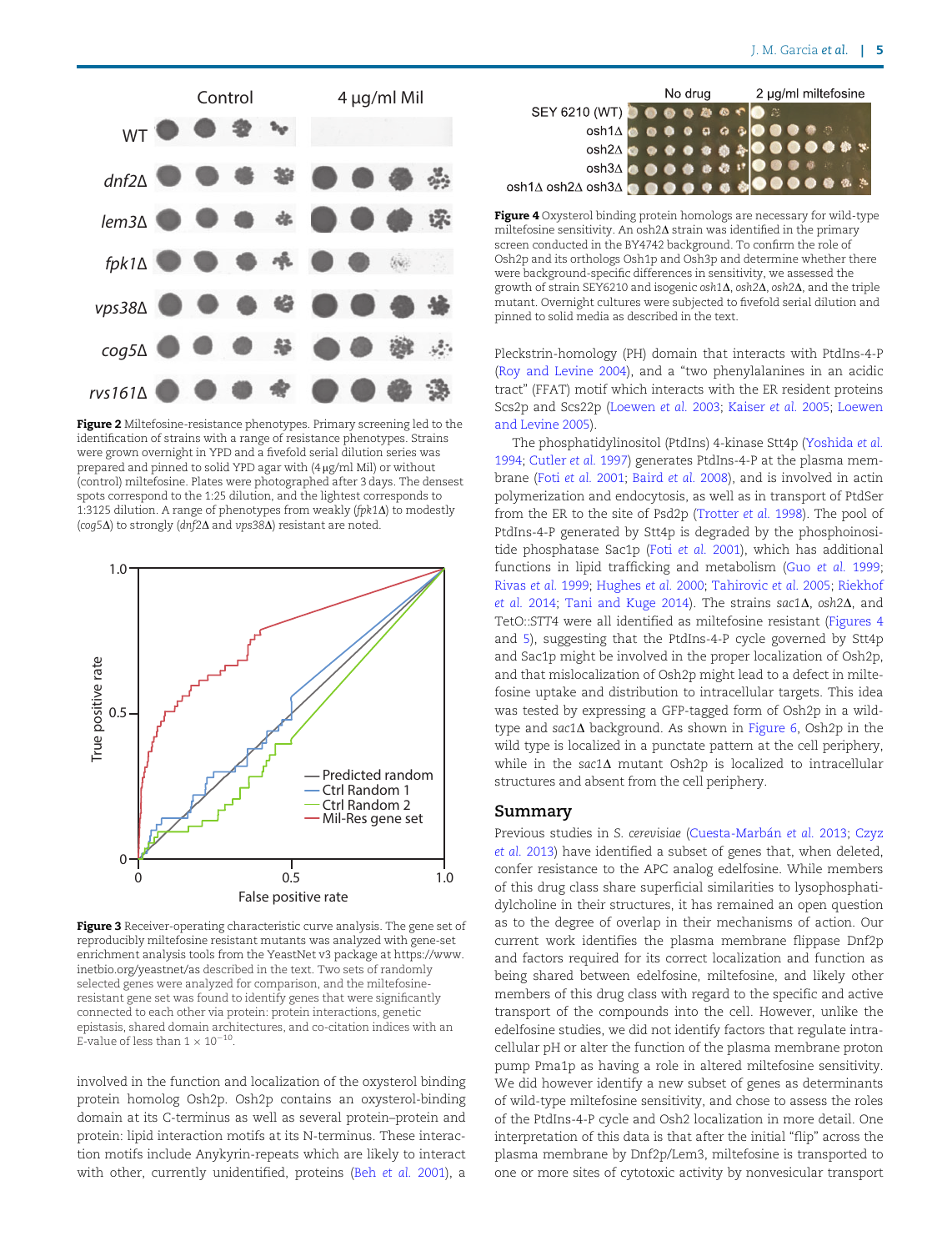<span id="page-5-0"></span>

Figure 2 Miltefosine-resistance phenotypes. Primary screening led to the identification of strains with a range of resistance phenotypes. Strains were grown overnight in YPD and a fivefold serial dilution series was prepared and pinned to solid YPD agar with (4 mg/ml Mil) or without (control) miltefosine. Plates were photographed after 3 days. The densest spots correspond to the 1:25 dilution, and the lightest corresponds to 1:3125 dilution. A range of phenotypes from weakly (fpk1D) to modestly (coq5 $\Delta$ ) to strongly (dnf2 $\Delta$  and vps38 $\Delta$ ) resistant are noted.



Figure 3 Receiver-operating characteristic curve analysis. The gene set of reproducibly miltefosine resistant mutants was analyzed with gene-set enrichment analysis tools from the YeastNet v3 package at [https://www.](https://www.inetbio.org/yeastnet/as) [inetbio.org/yeastnet/as](https://www.inetbio.org/yeastnet/as) described in the text. Two sets of randomly selected genes were analyzed for comparison, and the miltefosineresistant gene set was found to identify genes that were significantly connected to each other via protein: protein interactions, genetic epistasis, shared domain architectures, and co-citation indices with an E-value of less than  $1 \times 10^{-10}$ 

involved in the function and localization of the oxysterol binding protein homolog Osh2p. Osh2p contains an oxysterol-binding domain at its C-terminus as well as several protein–protein and protein: lipid interaction motifs at its N-terminus. These interaction motifs include Anykyrin-repeats which are likely to interact with other, currently unidentified, proteins (Beh [et al.](#page-7-0) 2001), a



Figure 4 Oxysterol binding protein homologs are necessary for wild-type miltefosine sensitivity. An osh $2\Delta$  strain was identified in the primary screen conducted in the BY4742 background. To confirm the role of Osh2p and its orthologs Osh1p and Osh3p and determine whether there were background-specific differences in sensitivity, we assessed the growth of strain SEY6210 and isogenic osh1 $\Delta$ , osh2 $\Delta$ , osh2 $\Delta$ , and the triple mutant. Overnight cultures were subjected to fivefold serial dilution and pinned to solid media as described in the text.

Pleckstrin-homology (PH) domain that interacts with PtdIns-4-P ([Roy and Levine 2004](#page-8-0)), and a "two phenylalanines in an acidic tract" (FFAT) motif which interacts with the ER resident proteins Scs2p and Scs22p ([Loewen](#page-8-0) et al. 2003; [Kaiser](#page-8-0) et al. 2005; [Loewen](#page-8-0) [and Levine 2005](#page-8-0))

The phosphatidylinositol (PtdIns) 4-kinase Stt4p ([Yoshida](#page-8-0) et al. [1994;](#page-8-0) [Cutler](#page-7-0) et al. 1997) generates PtdIns-4-P at the plasma membrane (Foti et al. [2001;](#page-8-0) [Baird](#page-7-0) et al. 2008), and is involved in actin polymerization and endocytosis, as well as in transport of PtdSer from the ER to the site of Psd2p ([Trotter](#page-8-0) et al. 1998). The pool of PtdIns-4-P generated by Stt4p is degraded by the phosphoinositide phosphatase Sac1p (Foti [et al.](#page-8-0) 2001), which has additional functions in lipid trafficking and metabolism (Guo [et al.](#page-8-0) 1999; [Rivas](#page-8-0) et al. 1999; [Hughes](#page-8-0) et al. 2000; [Tahirovic](#page-8-0) et al. 2005; [Riekhof](#page-8-0) [et al.](#page-8-0) 2014; [Tani and Kuge 2014](#page-8-0)). The strains sac1 $\Delta$ , osh2 $\Delta$ , and TetO::STT4 were all identified as miltefosine resistant (Figures 4 and [5\)](#page-6-0), suggesting that the PtdIns-4-P cycle governed by Stt4p and Sac1p might be involved in the proper localization of Osh2p, and that mislocalization of Osh2p might lead to a defect in miltefosine uptake and distribution to intracellular targets. This idea was tested by expressing a GFP-tagged form of Osh2p in a wildtype and sac1 $\Delta$  background. As shown in [Figure 6,](#page-7-0) Osh2p in the wild type is localized in a punctate pattern at the cell periphery, while in the sac1 $\Delta$  mutant Osh2p is localized to intracellular structures and absent from the cell periphery.

#### Summary

Previous studies in S. cerevisiae (Cuesta-Marbán et al. 2013; [Czyz](#page-7-0) et al. [2013\)](#page-7-0) have identified a subset of genes that, when deleted, confer resistance to the APC analog edelfosine. While members of this drug class share superficial similarities to lysophosphatidylcholine in their structures, it has remained an open question as to the degree of overlap in their mechanisms of action. Our current work identifies the plasma membrane flippase Dnf2p and factors required for its correct localization and function as being shared between edelfosine, miltefosine, and likely other members of this drug class with regard to the specific and active transport of the compounds into the cell. However, unlike the edelfosine studies, we did not identify factors that regulate intracellular pH or alter the function of the plasma membrane proton pump Pma1p as having a role in altered miltefosine sensitivity. We did however identify a new subset of genes as determinants of wild-type miltefosine sensitivity, and chose to assess the roles of the PtdIns-4-P cycle and Osh2 localization in more detail. One interpretation of this data is that after the initial "flip" across the plasma membrane by Dnf2p/Lem3, miltefosine is transported to one or more sites of cytotoxic activity by nonvesicular transport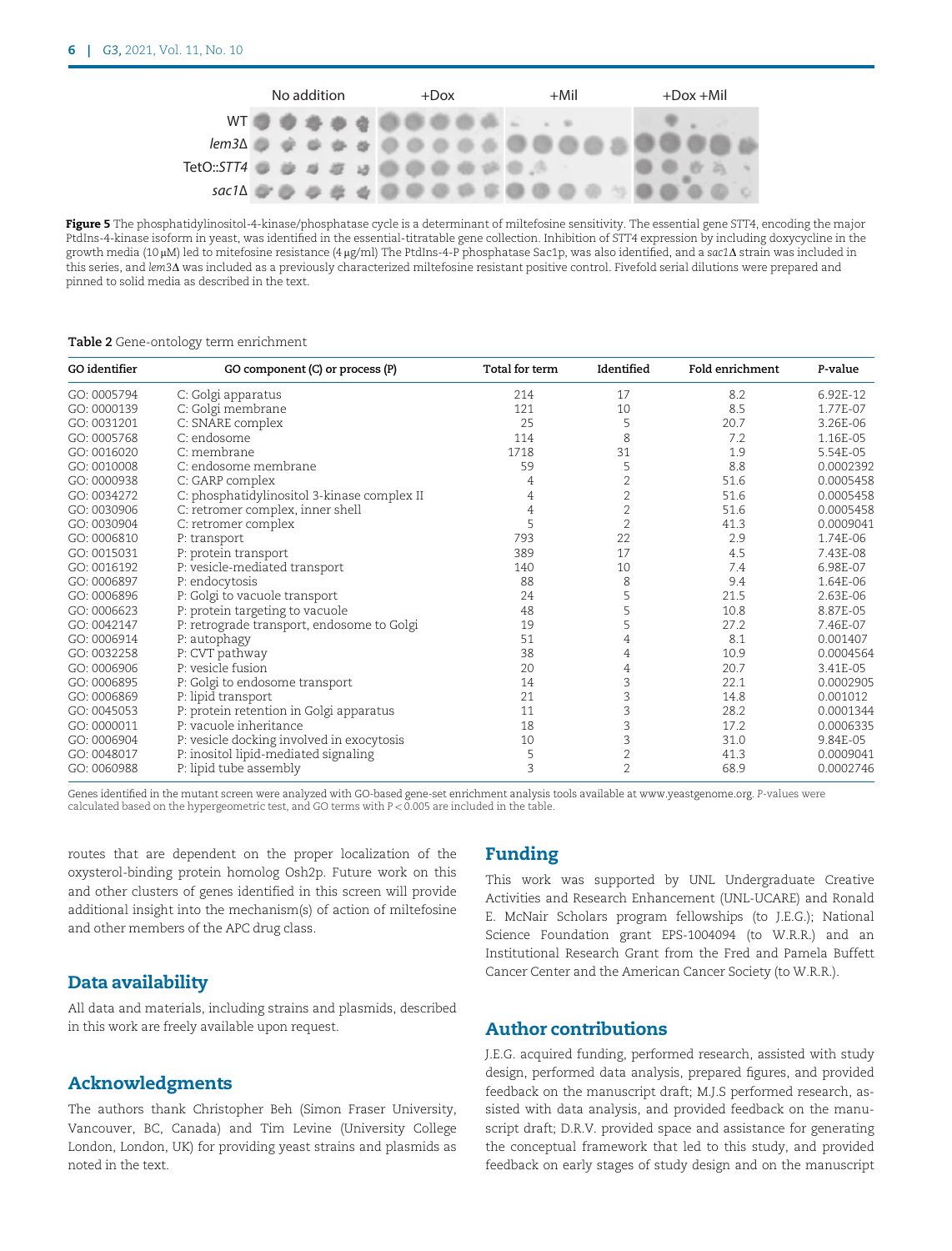<span id="page-6-0"></span>

Figure 5 The phosphatidylinositol-4-kinase/phosphatase cycle is a determinant of miltefosine sensitivity. The essential gene STT4, encoding the major PtdIns-4-kinase isoform in yeast, was identified in the essential-titratable gene collection. Inhibition of STT4 expression by including doxycycline in the growth media (10 µM) led to mitefosine resistance (4 µg/ml) The PtdIns-4-P phosphatase Sac1p, was also identified, and a sac1 $\Delta$  strain was included in this series, and lem3A was included as a previously characterized miltefosine resistant positive control. Fivefold serial dilutions were prepared and pinned to solid media as described in the text.

#### Table 2 Gene-ontology term enrichment

| GO identifier | GO component (C) or process (P)             | Total for term | Identified     | Fold enrichment | P-value   |
|---------------|---------------------------------------------|----------------|----------------|-----------------|-----------|
| GO: 0005794   | C: Golgi apparatus                          | 214            | 17             | 8.2             | 6.92E-12  |
| GO: 0000139   | C: Golgi membrane                           | 121            | 10             | 8.5             | 1.77E-07  |
| GO: 0031201   | C: SNARE complex                            | 25             | 5              | 20.7            | 3.26E-06  |
| GO: 0005768   | $C:$ endosome                               | 114            | 8              | 7.2             | 1.16E-05  |
| GO: 0016020   | $C:$ membrane                               | 1718           | 31             | 1.9             | 5.54E-05  |
| GO: 0010008   | C: endosome membrane                        | 59             | 5              | 8.8             | 0.0002392 |
| GO: 0000938   | C: GARP complex                             | 4              | $\overline{2}$ | 51.6            | 0.0005458 |
| GO: 0034272   | C: phosphatidylinositol 3-kinase complex II | 4              | $\mathbf{2}$   | 51.6            | 0.0005458 |
| GO: 0030906   | C: retromer complex, inner shell            | 4              | $\overline{2}$ | 51.6            | 0.0005458 |
| GO: 0030904   | C: retromer complex                         | 5              | $\overline{2}$ | 41.3            | 0.0009041 |
| GO: 0006810   | P: transport                                | 793            | 22             | 2.9             | 1.74E-06  |
| GO: 0015031   | P: protein transport                        | 389            | 17             | 4.5             | 7.43E-08  |
| GO: 0016192   | P: vesicle-mediated transport               | 140            | 10             | 7.4             | 6.98E-07  |
| GO: 0006897   | P: endocytosis                              | 88             | 8              | 9.4             | 1.64E-06  |
| GO: 0006896   | P: Golgi to vacuole transport               | 24             | 5              | 21.5            | 2.63E-06  |
| GO: 0006623   | P: protein targeting to vacuole             | 48             | 5              | 10.8            | 8.87E-05  |
| GO: 0042147   | P: retrograde transport, endosome to Golgi  | 19             | 5              | 27.2            | 7.46E-07  |
| GO: 0006914   | P: autophagy                                | 51             | 4              | 8.1             | 0.001407  |
| GO: 0032258   | P: CVT pathway                              | 38             | 4              | 10.9            | 0.0004564 |
| GO: 0006906   | P: vesicle fusion                           | 20             | 4              | 20.7            | 3.41E-05  |
| GO: 0006895   | P: Golgi to endosome transport              | 14             | 3              | 22.1            | 0.0002905 |
| GO: 0006869   | P: lipid transport                          | 21             | 3              | 14.8            | 0.001012  |
| GO: 0045053   | P: protein retention in Golgi apparatus     | 11             | 3              | 28.2            | 0.0001344 |
| GO: 0000011   | P: vacuole inheritance                      | 18             | 3              | 17.2            | 0.0006335 |
| GO: 0006904   | P: vesicle docking involved in exocytosis   | 10             | 3              | 31.0            | 9.84E-05  |
| GO: 0048017   | P: inositol lipid-mediated signaling        | 5              | $\overline{2}$ | 41.3            | 0.0009041 |
| GO: 0060988   | P: lipid tube assembly                      | 3              | $\overline{2}$ | 68.9            | 0.0002746 |

Genes identified in the mutant screen were analyzed with GO-based gene-set enrichment analysis tools available at [www.yeastgenome.org](http://www.yeastgenome.org). P-values were calculated based on the hypergeometric test, and GO terms with  $P < 0.005$  are included in the table.

routes that are dependent on the proper localization of the oxysterol-binding protein homolog Osh2p. Future work on this and other clusters of genes identified in this screen will provide additional insight into the mechanism(s) of action of miltefosine and other members of the APC drug class.

## Data availability

All data and materials, including strains and plasmids, described in this work are freely available upon request.

## Acknowledgments

The authors thank Christopher Beh (Simon Fraser University, Vancouver, BC, Canada) and Tim Levine (University College London, London, UK) for providing yeast strains and plasmids as noted in the text.

## Funding

This work was supported by UNL Undergraduate Creative Activities and Research Enhancement (UNL-UCARE) and Ronald E. McNair Scholars program fellowships (to J.E.G.); National Science Foundation grant EPS-1004094 (to W.R.R.) and an Institutional Research Grant from the Fred and Pamela Buffett Cancer Center and the American Cancer Society (to W.R.R.).

## Author contributions

J.E.G. acquired funding, performed research, assisted with study design, performed data analysis, prepared figures, and provided feedback on the manuscript draft; M.J.S performed research, assisted with data analysis, and provided feedback on the manuscript draft; D.R.V. provided space and assistance for generating the conceptual framework that led to this study, and provided feedback on early stages of study design and on the manuscript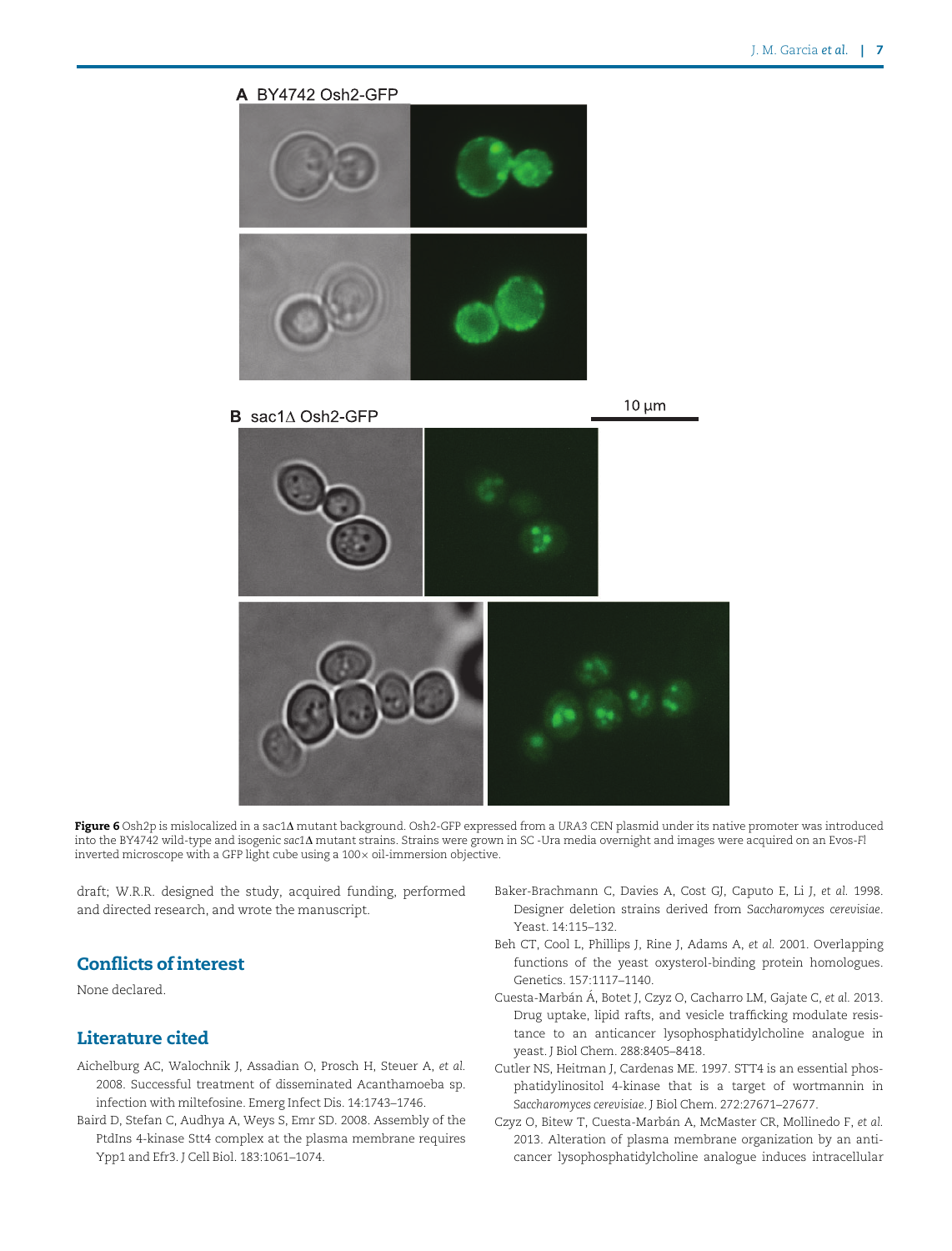<span id="page-7-0"></span>

Figure 6 Osh2p is mislocalized in a sac1A mutant background. Osh2-GFP expressed from a URA3 CEN plasmid under its native promoter was introduced into the BY4742 wild-type and isogenic sac1 $\Delta$  mutant strains. Strains were grown in SC-Ura media overnight and images were acquired on an Evos-Fl inverted microscope with a GFP light cube using a  $100 \times$  oil-immersion objective.

draft; W.R.R. designed the study, acquired funding, performed and directed research, and wrote the manuscript.

## Conflicts of interest

None declared.

## Literature cited

- Aichelburg AC, Walochnik J, Assadian O, Prosch H, Steuer A, et al. 2008. Successful treatment of disseminated Acanthamoeba sp. infection with miltefosine. Emerg Infect Dis. 14:1743–1746.
- Baird D, Stefan C, Audhya A, Weys S, Emr SD. 2008. Assembly of the PtdIns 4-kinase Stt4 complex at the plasma membrane requires Ypp1 and Efr3. J Cell Biol. 183:1061–1074.
- Baker-Brachmann C, Davies A, Cost GJ, Caputo E, Li J, et al. 1998. Designer deletion strains derived from Saccharomyces cerevisiae. Yeast. 14:115–132.
- Beh CT, Cool L, Phillips J, Rine J, Adams A, et al. 2001. Overlapping functions of the yeast oxysterol-binding protein homologues. Genetics. 157:1117–1140.
- Cuesta-Marbán Á, Botet J, Czyz O, Cacharro LM, Gajate C, et al. 2013. Drug uptake, lipid rafts, and vesicle trafficking modulate resistance to an anticancer lysophosphatidylcholine analogue in yeast. J Biol Chem. 288:8405–8418.
- Cutler NS, Heitman J, Cardenas ME. 1997. STT4 is an essential phosphatidylinositol 4-kinase that is a target of wortmannin in Saccharomyces cerevisiae. J Biol Chem. 272:27671–27677.
- Czyz O, Bitew T, Cuesta-Marbán A, McMaster CR, Mollinedo F, et al. 2013. Alteration of plasma membrane organization by an anticancer lysophosphatidylcholine analogue induces intracellular